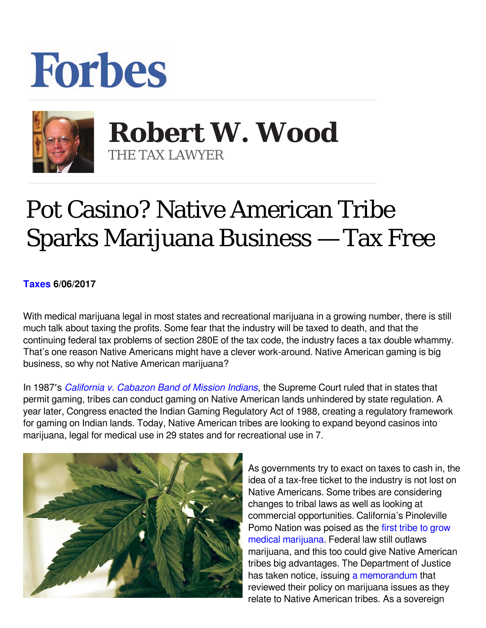## **Forbes**



 **Robert W. Wood** THE TAX LAWYER

## Pot Casino? Native American Tribe Sparks Marijuana Business — Tax Free

## **[Taxes](https://www.forbes.com/taxes) 6/06/2017**

With medical marijuana legal in most states and recreational marijuana in a growing number, there is still much talk about taxing the profits. Some fear that the industry will be taxed to death, and that the continuing federal tax problems of section 280E of the tax code, the industry faces a tax double whammy. That's one reason Native Americans might have a clever work-around. Native American gaming is big business, so why not Native American marijuana?

In 1987′s *[California v. Cabazon Band of Mission Indians](http://scholar.google.com/scholar_case?case=11423328745374643610&hl=en&as_sdt=2&as_vis=1&oi=scholarr)*, the Supreme Court ruled that in states that permit gaming, tribes can conduct gaming on Native American lands unhindered by state regulation. A year later, Congress enacted the Indian Gaming Regulatory Act of 1988, creating a regulatory framework for gaming on Indian lands. Today, Native American tribes are looking to expand beyond casinos into marijuana, legal for medical use in 29 states and for recreational use in 7.



As governments try to exact on taxes to cash in, the idea of a tax-free ticket to the industry is not lost on Native Americans. Some tribes are considering changes to tribal laws as well as looking at commercial opportunities. California's Pinoleville Pomo Nation was poised as the [first tribe to grow](http://indiancountrytodaymedianetwork.com/2015/01/26/grow-their-own-california-tribe-will-grow-medical-marijuana-tribal-land-158864) [medical marijuana](http://indiancountrytodaymedianetwork.com/2015/01/26/grow-their-own-california-tribe-will-grow-medical-marijuana-tribal-land-158864). Federal law still outlaws marijuana, and this too could give Native American tribes big advantages. The Department of Justice has taken notice, issuing [a memorandum](http://www.justice.gov/sites/default/files/tribal/pages/attachments/2014/12/11/policystatementregardingmarijuanaissuesinindiancountry2.pdf) that reviewed their policy on marijuana issues as they relate to Native American tribes. As a sovereign